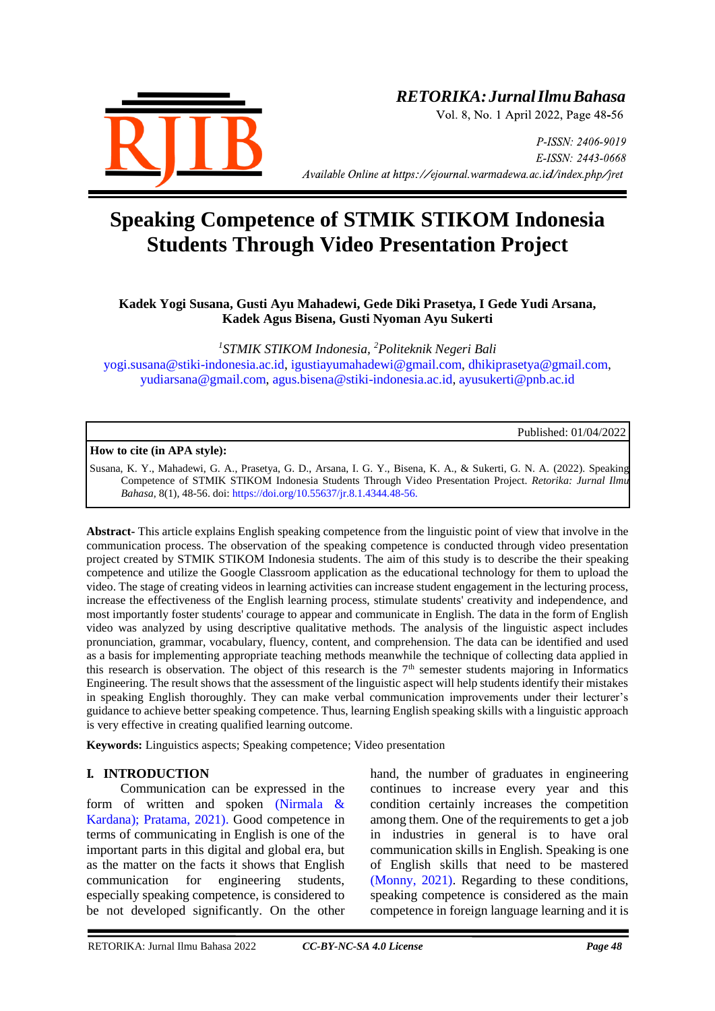

## *RETORIKA:JurnalIlmuBahasa*

Vol. 8, No. 1 April 2022, Page 48-56

P-ISSN: 2406-9019 E-ISSN: 2443-0668 *Available Online at https://ejournal.warmadewa.ac.id/index.php/jret* 

# **Speaking Competence of STMIK STIKOM Indonesia Students Through Video Presentation Project**

## **Kadek Yogi Susana, Gusti Ayu Mahadewi, Gede Diki Prasetya, I Gede Yudi Arsana, Kadek Agus Bisena, Gusti Nyoman Ayu Sukerti**

*1 STMIK STIKOM Indonesia, <sup>2</sup>Politeknik Negeri Bali* [yogi.susana@stiki-indonesia.ac.id,](mailto:yogi.susana@stiki-indonesia.ac.id) [igustiayumahadewi@gmail.com,](mailto:igustiayumahadewi@gmail.com) [dhikiprasetya@gmail.com,](mailto:dhikiprasetya@gmail.com) [yudiarsana@gmail.com,](mailto:yudiarsana@gmail.com) [agus.bisena@stiki-indonesia.ac.id,](mailto:agus.bisena@stiki-indonesia.ac.id) [ayusukerti@pnb.ac.id](mailto:ayusukerti@pnb.ac.id)

Published: 01/04/2022

**How to cite (in APA style):**

Susana, K. Y., Mahadewi, G. A., Prasetya, G. D., Arsana, I. G. Y., Bisena, K. A., & Sukerti, G. N. A. (2022). Speaking Competence of STMIK STIKOM Indonesia Students Through Video Presentation Project. *Retorika: Jurnal Ilmu Bahasa*, 8(1), 48-56. doi[: https://doi.org/10.55637/jr.8.1.4344.48-56.](https://doi.org/10.55637/jr.8.1.4344.48-56.)

**Abstract-** This article explains English speaking competence from the linguistic point of view that involve in the communication process. The observation of the speaking competence is conducted through video presentation project created by STMIK STIKOM Indonesia students. The aim of this study is to describe the their speaking competence and utilize the Google Classroom application as the educational technology for them to upload the video. The stage of creating videos in learning activities can increase student engagement in the lecturing process, increase the effectiveness of the English learning process, stimulate students' creativity and independence, and most importantly foster students' courage to appear and communicate in English. The data in the form of English video was analyzed by using descriptive qualitative methods. The analysis of the linguistic aspect includes pronunciation, grammar, vocabulary, fluency, content, and comprehension. The data can be identified and used as a basis for implementing appropriate teaching methods meanwhile the technique of collecting data applied in this research is observation. The object of this research is the 7th semester students majoring in Informatics Engineering. The result shows that the assessment of the linguistic aspect will help students identify their mistakes in speaking English thoroughly. They can make verbal communication improvements under their lecturer's guidance to achieve better speaking competence. Thus, learning English speaking skills with a linguistic approach is very effective in creating qualified learning outcome.

**Keywords:** Linguistics aspects; Speaking competence; Video presentation

### **I. INTRODUCTION**

Communication can be expressed in the form of written and spoken [\(Nirmala &](#page-8-0)  Kardana); Pratama, 2021). Good competence in terms of communicating in English is one of the important parts in this digital and global era, but as the matter on the facts it shows that English communication for engineering students, especially speaking competence, is considered to be not developed significantly. On the other

hand, the number of graduates in engineering continues to increase every year and this condition certainly increases the competition among them. One of the requirements to get a job in industries in general is to have oral communication skills in English. Speaking is one of English skills that need to be mastered [\(Monny, 2021\).](#page-8-1) Regarding to these conditions, speaking competence is considered as the main competence in foreign language learning and it is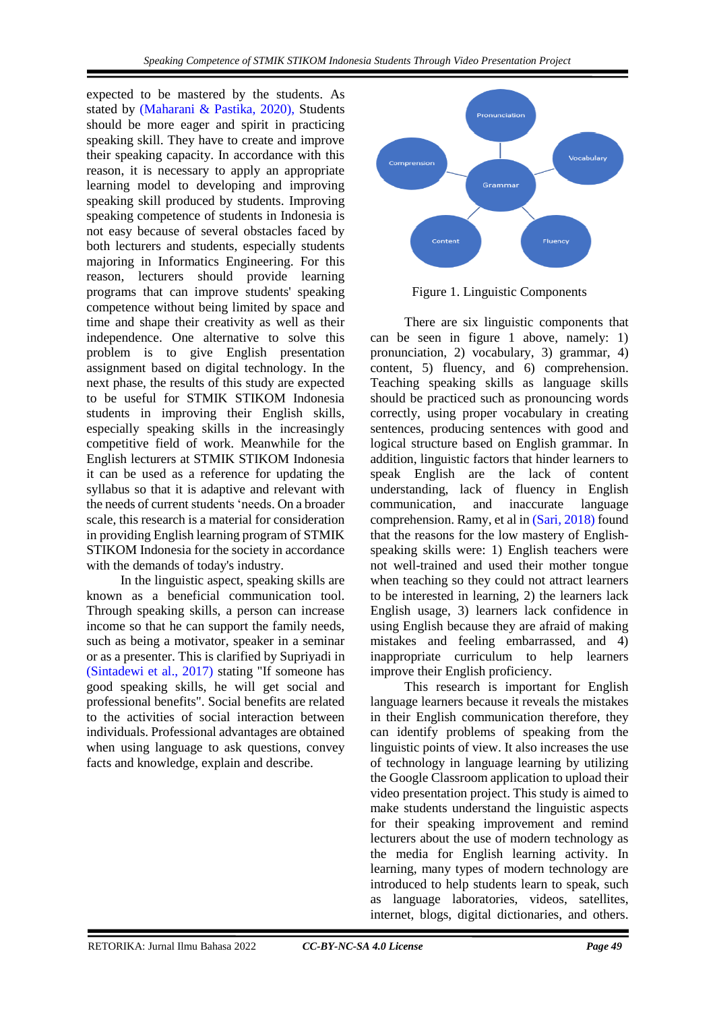expected to be mastered by the students. As stated by (Maharani & [Pastika, 2020\),](#page-8-2) Students should be more eager and spirit in practicing speaking skill. They have to create and improve their speaking capacity. In accordance with this reason, it is necessary to apply an appropriate learning model to developing and improving speaking skill produced by students. Improving speaking competence of students in Indonesia is not easy because of several obstacles faced by both lecturers and students, especially students majoring in Informatics Engineering. For this reason, lecturers should provide learning programs that can improve students' speaking competence without being limited by space and time and shape their creativity as well as their independence. One alternative to solve this problem is to give English presentation assignment based on digital technology. In the next phase, the results of this study are expected to be useful for STMIK STIKOM Indonesia students in improving their English skills, especially speaking skills in the increasingly competitive field of work. Meanwhile for the English lecturers at STMIK STIKOM Indonesia it can be used as a reference for updating the syllabus so that it is adaptive and relevant with the needs of current students 'needs. On a broader scale, this research is a material for consideration in providing English learning program of STMIK STIKOM Indonesia for the society in accordance with the demands of today's industry.

In the linguistic aspect, speaking skills are known as a beneficial communication tool. Through speaking skills, a person can increase income so that he can support the family needs, such as being a motivator, speaker in a seminar or as a presenter. This is clarified by Supriyadi in [\(Sintadewi et al., 2017\)](#page-8-3) stating "If someone has good speaking skills, he will get social and professional benefits". Social benefits are related to the activities of social interaction between individuals. Professional advantages are obtained when using language to ask questions, convey facts and knowledge, explain and describe.



Figure 1. Linguistic Components

There are six linguistic components that can be seen in figure 1 above, namely: 1) pronunciation, 2) vocabulary, 3) grammar, 4) content, 5) fluency, and 6) comprehension. Teaching speaking skills as language skills should be practiced such as pronouncing words correctly, using proper vocabulary in creating sentences, producing sentences with good and logical structure based on English grammar. In addition, linguistic factors that hinder learners to speak English are the lack of content understanding, lack of fluency in English communication, and inaccurate language comprehension. Ramy, et al i[n \(Sari, 2018\)](#page-8-4) found that the reasons for the low mastery of Englishspeaking skills were: 1) English teachers were not well-trained and used their mother tongue when teaching so they could not attract learners to be interested in learning, 2) the learners lack English usage, 3) learners lack confidence in using English because they are afraid of making mistakes and feeling embarrassed, and 4) inappropriate curriculum to help learners improve their English proficiency.

This research is important for English language learners because it reveals the mistakes in their English communication therefore, they can identify problems of speaking from the linguistic points of view. It also increases the use of technology in language learning by utilizing the Google Classroom application to upload their video presentation project. This study is aimed to make students understand the linguistic aspects for their speaking improvement and remind lecturers about the use of modern technology as the media for English learning activity. In learning, many types of modern technology are introduced to help students learn to speak, such as language laboratories, videos, satellites, internet, blogs, digital dictionaries, and others.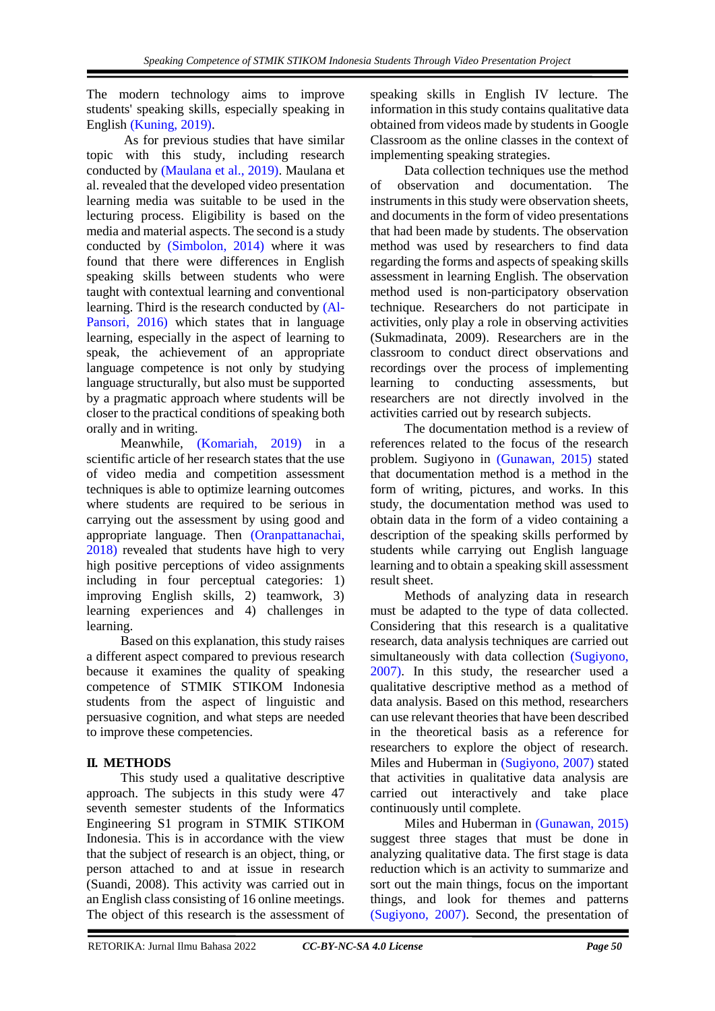The modern technology aims to improve students' speaking skills, especially speaking in English [\(Kuning, 2019\).](#page-8-5)

As for previous studies that have similar topic with this study, including research conducted by [\(Maulana et al., 2019\).](#page-8-6) Maulana et al. revealed that the developed video presentation learning media was suitable to be used in the lecturing process. Eligibility is based on the media and material aspects. The second is a study conducted by [\(Simbolon, 2014\)](#page-8-7) where it was found that there were differences in English speaking skills between students who were taught with contextual learning and conventional learning. Third is the research conducted by [\(Al-](#page-8-8)Pansori, 2016) which states that in language learning, especially in the aspect of learning to speak, the achievement of an appropriate language competence is not only by studying language structurally, but also must be supported by a pragmatic approach where students will be closer to the practical conditions of speaking both orally and in writing.

Meanwhile, [\(Komariah, 2019\)](#page-8-9) in a scientific article of her research states that the use of video media and competition assessment techniques is able to optimize learning outcomes where students are required to be serious in carrying out the assessment by using good and appropriate language. Then [\(Oranpattanachai,](#page-8-10)  2018) revealed that students have high to very high positive perceptions of video assignments including in four perceptual categories: 1) improving English skills, 2) teamwork, 3) learning experiences and 4) challenges in learning.

Based on this explanation, this study raises a different aspect compared to previous research because it examines the quality of speaking competence of STMIK STIKOM Indonesia students from the aspect of linguistic and persuasive cognition, and what steps are needed to improve these competencies.

## **II. METHODS**

This study used a qualitative descriptive approach. The subjects in this study were 47 seventh semester students of the Informatics Engineering S1 program in STMIK STIKOM Indonesia. This is in accordance with the view that the subject of research is an object, thing, or person attached to and at issue in research (Suandi, 2008). This activity was carried out in an English class consisting of 16 online meetings. The object of this research is the assessment of speaking skills in English IV lecture. The information in this study contains qualitative data obtained from videos made by students in Google Classroom as the online classes in the context of implementing speaking strategies.

Data collection techniques use the method of observation and documentation. The instruments in this study were observation sheets, and documents in the form of video presentations that had been made by students. The observation method was used by researchers to find data regarding the forms and aspects of speaking skills assessment in learning English. The observation method used is non-participatory observation technique. Researchers do not participate in activities, only play a role in observing activities (Sukmadinata, 2009). Researchers are in the classroom to conduct direct observations and recordings over the process of implementing learning to conducting assessments, but researchers are not directly involved in the activities carried out by research subjects.

The documentation method is a review of references related to the focus of the research problem. Sugiyono in [\(Gunawan, 2015\)](#page-8-11) stated that documentation method is a method in the form of writing, pictures, and works. In this study, the documentation method was used to obtain data in the form of a video containing a description of the speaking skills performed by students while carrying out English language learning and to obtain a speaking skill assessment result sheet.

Methods of analyzing data in research must be adapted to the type of data collected. Considering that this research is a qualitative research, data analysis techniques are carried out simultaneously with data collection [\(Sugiyono,](#page-8-12)  2007). In this study, the researcher used a qualitative descriptive method as a method of data analysis. Based on this method, researchers can use relevant theories that have been described in the theoretical basis as a reference for researchers to explore the object of research. Miles and Huberman in [\(Sugiyono, 2007\)](#page-8-12) stated that activities in qualitative data analysis are carried out interactively and take place continuously until complete.

Miles and Huberman in [\(Gunawan, 2015\)](#page-8-11) suggest three stages that must be done in analyzing qualitative data. The first stage is data reduction which is an activity to summarize and sort out the main things, focus on the important things, and look for themes and patterns [\(Sugiyono, 2007\).](#page-8-12) Second, the presentation of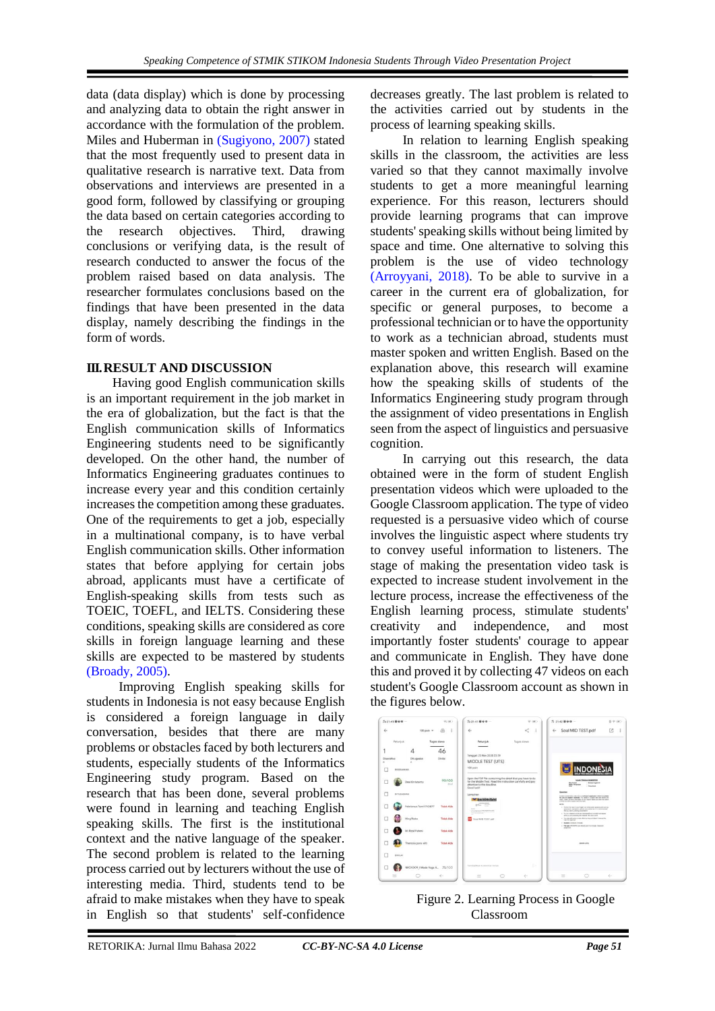data (data display) which is done by processing and analyzing data to obtain the right answer in accordance with the formulation of the problem. Miles and Huberman in [\(Sugiyono, 2007\)](#page-8-12) stated that the most frequently used to present data in qualitative research is narrative text. Data from observations and interviews are presented in a good form, followed by classifying or grouping the data based on certain categories according to the research objectives. Third, drawing conclusions or verifying data, is the result of research conducted to answer the focus of the problem raised based on data analysis. The researcher formulates conclusions based on the findings that have been presented in the data display, namely describing the findings in the form of words.

## **III.RESULT AND DISCUSSION**

Having good English communication skills is an important requirement in the job market in the era of globalization, but the fact is that the English communication skills of Informatics Engineering students need to be significantly developed. On the other hand, the number of Informatics Engineering graduates continues to increase every year and this condition certainly increases the competition among these graduates. One of the requirements to get a job, especially in a multinational company, is to have verbal English communication skills. Other information states that before applying for certain jobs abroad, applicants must have a certificate of English-speaking skills from tests such as TOEIC, TOEFL, and IELTS. Considering these conditions, speaking skills are considered as core skills in foreign language learning and these skills are expected to be mastered by students [\(Broady, 2005\).](#page-8-13)

Improving English speaking skills for students in Indonesia is not easy because English is considered a foreign language in daily conversation, besides that there are many problems or obstacles faced by both lecturers and students, especially students of the Informatics Engineering study program. Based on the research that has been done, several problems were found in learning and teaching English speaking skills. The first is the institutional context and the native language of the speaker. The second problem is related to the learning process carried out by lecturers without the use of interesting media. Third, students tend to be afraid to make mistakes when they have to speak in English so that students' self-confidence decreases greatly. The last problem is related to the activities carried out by students in the process of learning speaking skills.

In relation to learning English speaking skills in the classroom, the activities are less varied so that they cannot maximally involve students to get a more meaningful learning experience. For this reason, lecturers should provide learning programs that can improve students' speaking skills without being limited by space and time. One alternative to solving this problem is the use of video technology [\(Arroyyani, 2018\).](#page-8-14) To be able to survive in a career in the current era of globalization, for specific or general purposes, to become a professional technician or to have the opportunity to work as a technician abroad, students must master spoken and written English. Based on the explanation above, this research will examine how the speaking skills of students of the Informatics Engineering study program through the assignment of video presentations in English seen from the aspect of linguistics and persuasive cognition.

In carrying out this research, the data obtained were in the form of student English presentation videos which were uploaded to the Google Classroom application. The type of video requested is a persuasive video which of course involves the linguistic aspect where students try to convey useful information to listeners. The stage of making the presentation video task is expected to increase student involvement in the lecture process, increase the effectiveness of the English learning process, stimulate students' creativity and independence, and most importantly foster students' courage to appear and communicate in English. They have done this and proved it by collecting 47 videos on each student's Google Classroom account as shown in the figures below.



Figure 2. Learning Process in Google Classroom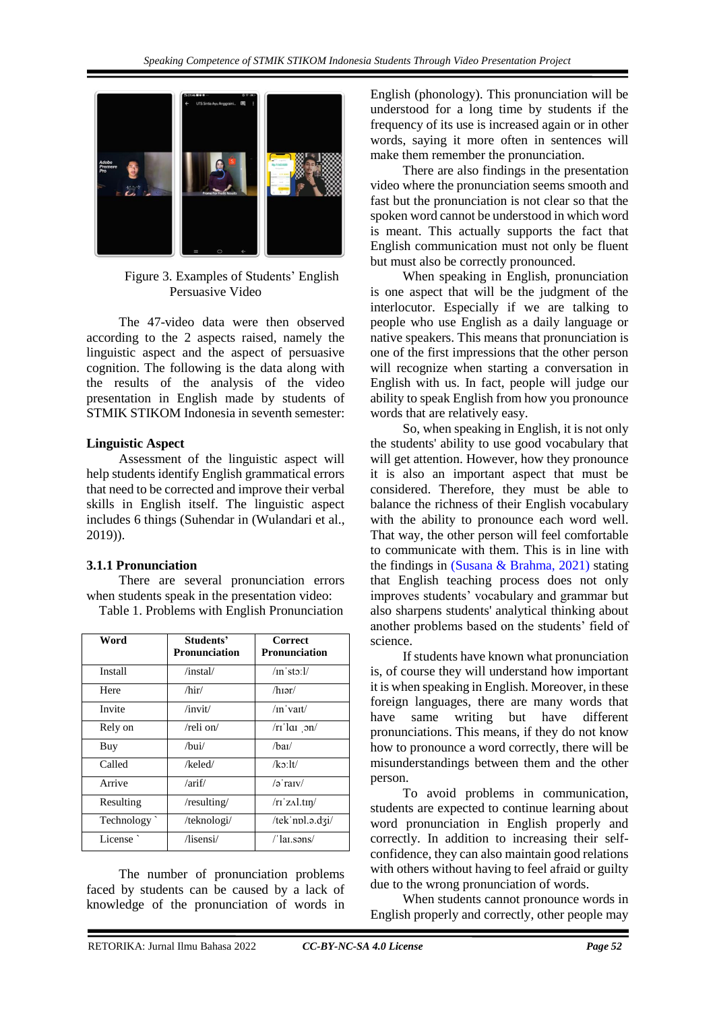

Figure 3. Examples of Students' English Persuasive Video

The 47-video data were then observed according to the 2 aspects raised, namely the linguistic aspect and the aspect of persuasive cognition. The following is the data along with the results of the analysis of the video presentation in English made by students of STMIK STIKOM Indonesia in seventh semester:

#### **Linguistic Aspect**

Assessment of the linguistic aspect will help students identify English grammatical errors that need to be corrected and improve their verbal skills in English itself. The linguistic aspect includes 6 things (Suhendar in (Wulandari et al., 2019)).

### **3.1.1 Pronunciation**

There are several pronunciation errors when students speak in the presentation video:

Table 1. Problems with English Pronunciation

| Word       | Students'<br><b>Pronunciation</b> | Correct<br><b>Pronunciation</b>  |
|------------|-----------------------------------|----------------------------------|
| Install    | $/$ instal $/$                    | $/$ in'sto: $1/$                 |
| Here       | $/$ hir $/$                       | $/h$ 19r/                        |
| Invite     | $/$ invit $/$                     | $/$ <sub>In</sub> $\mathrm{var}$ |
| Rely on    | /reli on/                         | $/ri'$ lai on/                   |
| Buy        | $\Delta$ bui $\Delta$             | /haI/                            |
| Called     | /keled/                           | $/k$ o:lt/                       |
| Arrive     | $/$ arif $/$                      | $\sqrt{2}$ raty                  |
| Resulting  | /resulting/                       | /ri'z <sub>Al</sub> .tin/        |
| Technology | /teknologi/                       | /tek npl.a.dzi/                  |
| License    | $\sqrt{\text{lisensi}}$           | $\frac{1}{1}$ ar.səns/           |

The number of pronunciation problems faced by students can be caused by a lack of knowledge of the pronunciation of words in English (phonology). This pronunciation will be understood for a long time by students if the frequency of its use is increased again or in other words, saying it more often in sentences will make them remember the pronunciation.

There are also findings in the presentation video where the pronunciation seems smooth and fast but the pronunciation is not clear so that the spoken word cannot be understood in which word is meant. This actually supports the fact that English communication must not only be fluent but must also be correctly pronounced.

When speaking in English, pronunciation is one aspect that will be the judgment of the interlocutor. Especially if we are talking to people who use English as a daily language or native speakers. This means that pronunciation is one of the first impressions that the other person will recognize when starting a conversation in English with us. In fact, people will judge our ability to speak English from how you pronounce words that are relatively easy.

So, when speaking in English, it is not only the students' ability to use good vocabulary that will get attention. However, how they pronounce it is also an important aspect that must be considered. Therefore, they must be able to balance the richness of their English vocabulary with the ability to pronounce each word well. That way, the other person will feel comfortable to communicate with them. This is in line with the findings in [\(Susana & Brahma, 2021\)](#page-8-15) stating that English teaching process does not only improves students' vocabulary and grammar but also sharpens students' analytical thinking about another problems based on the students' field of science.

If students have known what pronunciation is, of course they will understand how important it is when speaking in English. Moreover, in these foreign languages, there are many words that have same writing but have different pronunciations. This means, if they do not know how to pronounce a word correctly, there will be misunderstandings between them and the other person.

To avoid problems in communication, students are expected to continue learning about word pronunciation in English properly and correctly. In addition to increasing their selfconfidence, they can also maintain good relations with others without having to feel afraid or guilty due to the wrong pronunciation of words.

When students cannot pronounce words in English properly and correctly, other people may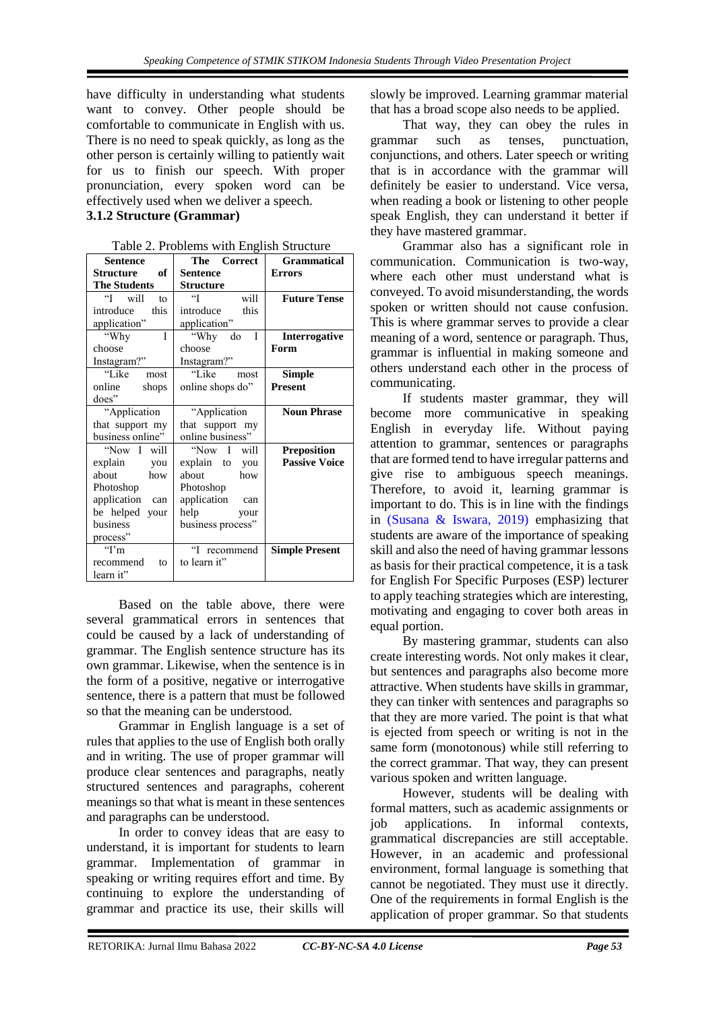have difficulty in understanding what students want to convey. Other people should be comfortable to communicate in English with us. There is no need to speak quickly, as long as the other person is certainly willing to patiently wait for us to finish our speech. With proper pronunciation, every spoken word can be effectively used when we deliver a speech.

## **3.1.2 Structure (Grammar)**

| <b>Sentence</b>     | The Correct                 | <b>Grammatical</b>    |
|---------------------|-----------------------------|-----------------------|
| of<br>Structure     | <b>Sentence</b>             | <b>Errors</b>         |
| <b>The Students</b> | Structure                   |                       |
| "I will<br>to       | $\mathbf{G}$<br>will        | <b>Future Tense</b>   |
| introduce<br>this   | introduce<br>this           |                       |
| application"        | application"                |                       |
| I<br>"Why           | "Why do<br>$\mathbf{I}$     | Interrogative         |
| choose              | choose                      | Form                  |
| Instagram?"         | Instagram?"                 |                       |
| "Like—<br>most      | "Like<br>most               | <b>Simple</b>         |
| online<br>shops     | online shops do"            | <b>Present</b>        |
| does"               |                             |                       |
| "Application        | "Application                | <b>Noun Phrase</b>    |
| that support my     | that support my             |                       |
| business online"    | online business"            |                       |
| "Now I will         | "Now I will                 | <b>Preposition</b>    |
| explain you         | explain to you              | <b>Passive Voice</b>  |
| about<br>how        | about<br>how                |                       |
| Photoshop           | Photoshop                   |                       |
| application<br>can  | application<br>can          |                       |
| be helped your      | help<br>your                |                       |
| business            | business process"           |                       |
| process"            |                             |                       |
| $\mathrm{``I'm}$    | $\mathfrak{c}$<br>recommend | <b>Simple Present</b> |
| recommend<br>tΩ     | to learn it"                |                       |
| learn it"           |                             |                       |

Table 2. Problems with English Structure

Based on the table above, there were several grammatical errors in sentences that could be caused by a lack of understanding of grammar. The English sentence structure has its own grammar. Likewise, when the sentence is in the form of a positive, negative or interrogative sentence, there is a pattern that must be followed so that the meaning can be understood.

Grammar in English language is a set of rules that applies to the use of English both orally and in writing. The use of proper grammar will produce clear sentences and paragraphs, neatly structured sentences and paragraphs, coherent meanings so that what is meant in these sentences and paragraphs can be understood.

In order to convey ideas that are easy to understand, it is important for students to learn grammar. Implementation of grammar in speaking or writing requires effort and time. By continuing to explore the understanding of grammar and practice its use, their skills will

slowly be improved. Learning grammar material that has a broad scope also needs to be applied.

That way, they can obey the rules in grammar such as tenses, punctuation, conjunctions, and others. Later speech or writing that is in accordance with the grammar will definitely be easier to understand. Vice versa, when reading a book or listening to other people speak English, they can understand it better if they have mastered grammar.

Grammar also has a significant role in communication. Communication is two-way, where each other must understand what is conveyed. To avoid misunderstanding, the words spoken or written should not cause confusion. This is where grammar serves to provide a clear meaning of a word, sentence or paragraph. Thus, grammar is influential in making someone and others understand each other in the process of communicating.

If students master grammar, they will become more communicative in speaking English in everyday life. Without paying attention to grammar, sentences or paragraphs that are formed tend to have irregular patterns and give rise to ambiguous speech meanings. Therefore, to avoid it, learning grammar is important to do. This is in line with the findings in [\(Susana & Iswara, 2019\)](#page-8-15) emphasizing that students are aware of the importance of speaking skill and also the need of having grammar lessons as basis for their practical competence, it is a task for English For Specific Purposes (ESP) lecturer to apply teaching strategies which are interesting, motivating and engaging to cover both areas in equal portion.

By mastering grammar, students can also create interesting words. Not only makes it clear, but sentences and paragraphs also become more attractive. When students have skills in grammar, they can tinker with sentences and paragraphs so that they are more varied. The point is that what is ejected from speech or writing is not in the same form (monotonous) while still referring to the correct grammar. That way, they can present various spoken and written language.

However, students will be dealing with formal matters, such as academic assignments or job applications. In informal contexts, grammatical discrepancies are still acceptable. However, in an academic and professional environment, formal language is something that cannot be negotiated. They must use it directly. One of the requirements in formal English is the application of proper grammar. So that students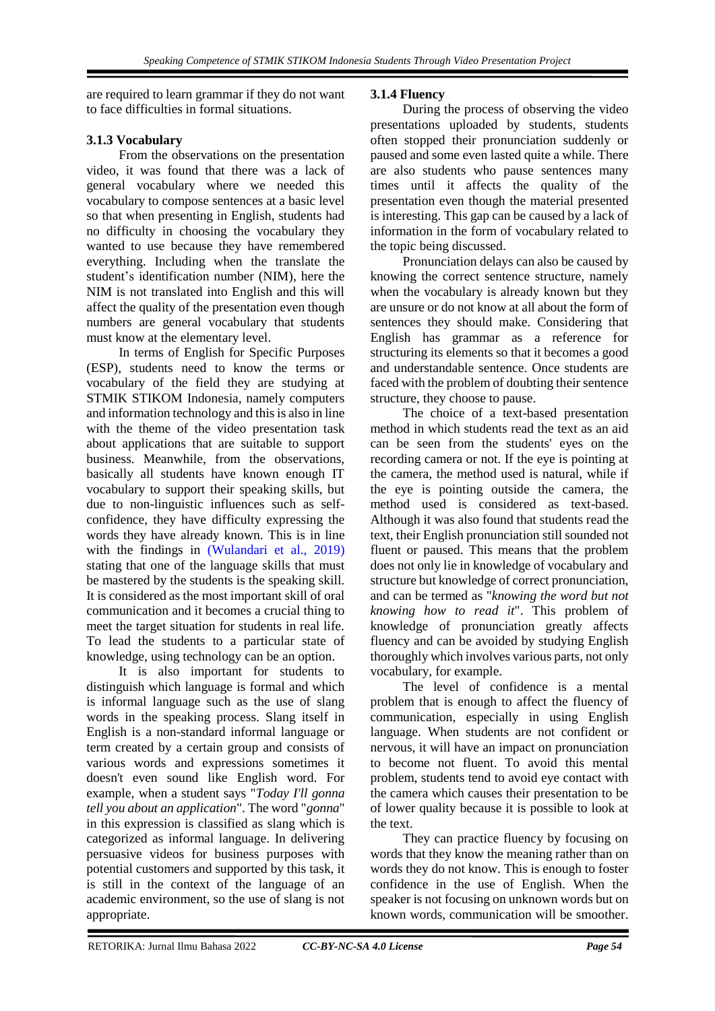are required to learn grammar if they do not want to face difficulties in formal situations.

## **3.1.3 Vocabulary**

From the observations on the presentation video, it was found that there was a lack of general vocabulary where we needed this vocabulary to compose sentences at a basic level so that when presenting in English, students had no difficulty in choosing the vocabulary they wanted to use because they have remembered everything. Including when the translate the student's identification number (NIM), here the NIM is not translated into English and this will affect the quality of the presentation even though numbers are general vocabulary that students must know at the elementary level.

In terms of English for Specific Purposes (ESP), students need to know the terms or vocabulary of the field they are studying at STMIK STIKOM Indonesia, namely computers and information technology and this is also in line with the theme of the video presentation task about applications that are suitable to support business. Meanwhile, from the observations, basically all students have known enough IT vocabulary to support their speaking skills, but due to non-linguistic influences such as selfconfidence, they have difficulty expressing the words they have already known. This is in line with the findings in [\(Wulandari et al., 2019\)](#page-8-16) stating that one of the language skills that must be mastered by the students is the speaking skill. It is considered as the most important skill of oral communication and it becomes a crucial thing to meet the target situation for students in real life. To lead the students to a particular state of knowledge, using technology can be an option.

It is also important for students to distinguish which language is formal and which is informal language such as the use of slang words in the speaking process. Slang itself in English is a non-standard informal language or term created by a certain group and consists of various words and expressions sometimes it doesn't even sound like English word. For example, when a student says "*Today I'll gonna tell you about an application*". The word "*gonna*" in this expression is classified as slang which is categorized as informal language. In delivering persuasive videos for business purposes with potential customers and supported by this task, it is still in the context of the language of an academic environment, so the use of slang is not appropriate.

## **3.1.4 Fluency**

During the process of observing the video presentations uploaded by students, students often stopped their pronunciation suddenly or paused and some even lasted quite a while. There are also students who pause sentences many times until it affects the quality of the presentation even though the material presented is interesting. This gap can be caused by a lack of information in the form of vocabulary related to the topic being discussed.

Pronunciation delays can also be caused by knowing the correct sentence structure, namely when the vocabulary is already known but they are unsure or do not know at all about the form of sentences they should make. Considering that English has grammar as a reference for structuring its elements so that it becomes a good and understandable sentence. Once students are faced with the problem of doubting their sentence structure, they choose to pause.

The choice of a text-based presentation method in which students read the text as an aid can be seen from the students' eyes on the recording camera or not. If the eye is pointing at the camera, the method used is natural, while if the eye is pointing outside the camera, the method used is considered as text-based. Although it was also found that students read the text, their English pronunciation still sounded not fluent or paused. This means that the problem does not only lie in knowledge of vocabulary and structure but knowledge of correct pronunciation, and can be termed as "*knowing the word but not knowing how to read it*". This problem of knowledge of pronunciation greatly affects fluency and can be avoided by studying English thoroughly which involves various parts, not only vocabulary, for example.

The level of confidence is a mental problem that is enough to affect the fluency of communication, especially in using English language. When students are not confident or nervous, it will have an impact on pronunciation to become not fluent. To avoid this mental problem, students tend to avoid eye contact with the camera which causes their presentation to be of lower quality because it is possible to look at the text.

They can practice fluency by focusing on words that they know the meaning rather than on words they do not know. This is enough to foster confidence in the use of English. When the speaker is not focusing on unknown words but on known words, communication will be smoother.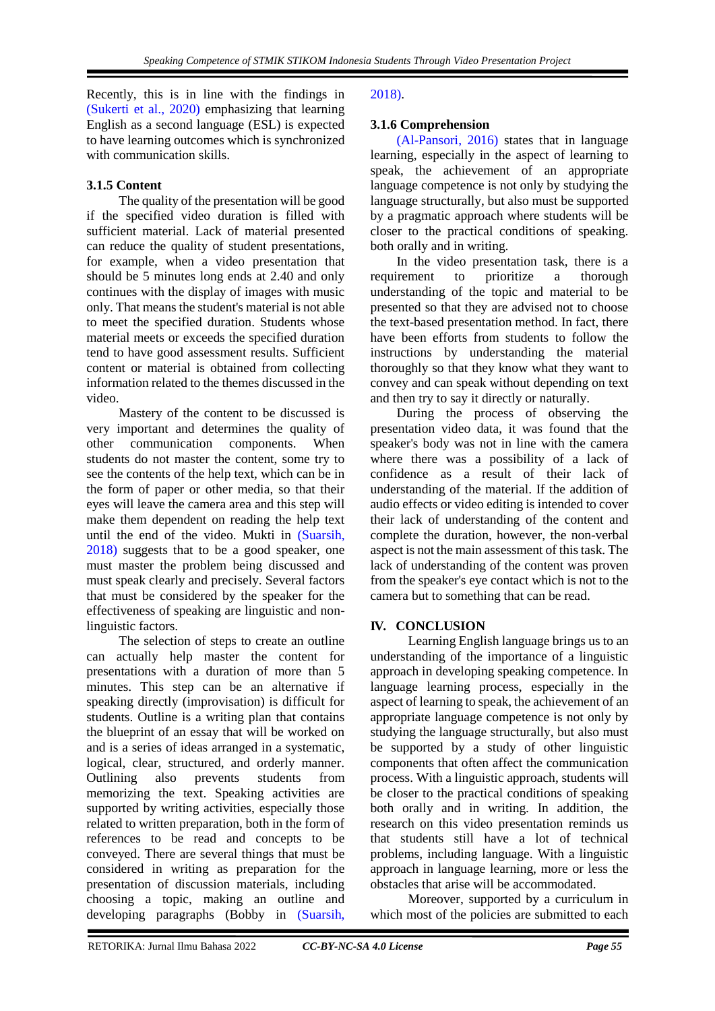Recently, this is in line with the findings in [\(Sukerti et al., 2020\)](#page-8-17) emphasizing that learning English as a second language (ESL) is expected to have learning outcomes which is synchronized with communication skills.

## **3.1.5 Content**

The quality of the presentation will be good if the specified video duration is filled with sufficient material. Lack of material presented can reduce the quality of student presentations, for example, when a video presentation that should be 5 minutes long ends at 2.40 and only continues with the display of images with music only. That means the student's material is not able to meet the specified duration. Students whose material meets or exceeds the specified duration tend to have good assessment results. Sufficient content or material is obtained from collecting information related to the themes discussed in the video.

Mastery of the content to be discussed is very important and determines the quality of other communication components. When students do not master the content, some try to see the contents of the help text, which can be in the form of paper or other media, so that their eyes will leave the camera area and this step will make them dependent on reading the help text until the end of the video. Mukti in [\(Suarsih,](#page-8-18)  2018) suggests that to be a good speaker, one must master the problem being discussed and must speak clearly and precisely. Several factors that must be considered by the speaker for the effectiveness of speaking are linguistic and nonlinguistic factors.

The selection of steps to create an outline can actually help master the content for presentations with a duration of more than 5 minutes. This step can be an alternative if speaking directly (improvisation) is difficult for students. Outline is a writing plan that contains the blueprint of an essay that will be worked on and is a series of ideas arranged in a systematic, logical, clear, structured, and orderly manner. Outlining also prevents students from memorizing the text. Speaking activities are supported by writing activities, especially those related to written preparation, both in the form of references to be read and concepts to be conveyed. There are several things that must be considered in writing as preparation for the presentation of discussion materials, including choosing a topic, making an outline and developing paragraphs (Bobby in [\(Suarsih,](#page-8-18) 

### 2018).

## **3.1.6 Comprehension**

[\(Al-Pansori, 2016\)](#page-8-8) states that in language learning, especially in the aspect of learning to speak, the achievement of an appropriate language competence is not only by studying the language structurally, but also must be supported by a pragmatic approach where students will be closer to the practical conditions of speaking. both orally and in writing.

In the video presentation task, there is a requirement to prioritize a thorough understanding of the topic and material to be presented so that they are advised not to choose the text-based presentation method. In fact, there have been efforts from students to follow the instructions by understanding the material thoroughly so that they know what they want to convey and can speak without depending on text and then try to say it directly or naturally.

During the process of observing the presentation video data, it was found that the speaker's body was not in line with the camera where there was a possibility of a lack of confidence as a result of their lack of understanding of the material. If the addition of audio effects or video editing is intended to cover their lack of understanding of the content and complete the duration, however, the non-verbal aspect is not the main assessment of this task. The lack of understanding of the content was proven from the speaker's eye contact which is not to the camera but to something that can be read.

### **IV. CONCLUSION**

Learning English language brings us to an understanding of the importance of a linguistic approach in developing speaking competence. In language learning process, especially in the aspect of learning to speak, the achievement of an appropriate language competence is not only by studying the language structurally, but also must be supported by a study of other linguistic components that often affect the communication process. With a linguistic approach, students will be closer to the practical conditions of speaking both orally and in writing. In addition, the research on this video presentation reminds us that students still have a lot of technical problems, including language. With a linguistic approach in language learning, more or less the obstacles that arise will be accommodated.

Moreover, supported by a curriculum in which most of the policies are submitted to each